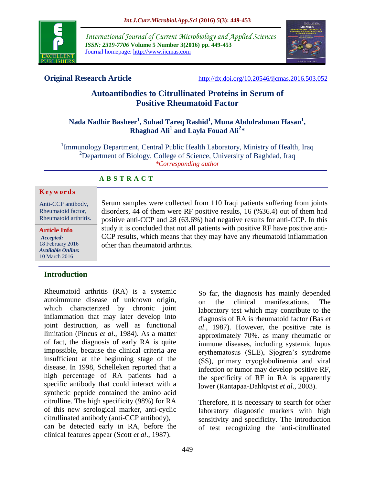

*International Journal of Current Microbiology and Applied Sciences ISSN: 2319-7706* **Volume 5 Number 3(2016) pp. 449-453** Journal homepage: http://www.ijcmas.com



**Original Research Article** <http://dx.doi.org/10.20546/ijcmas.2016.503.052>

# **Autoantibodies to Citrullinated Proteins in Serum of Positive Rheumatoid Factor**

# **Nada Nadhir Basheer<sup>1</sup> , Suhad Tareq Rashid<sup>1</sup> , Muna Abdulrahman Hasan<sup>1</sup> , Rhaghad Ali<sup>1</sup> and Layla Fouad Ali<sup>2</sup> \***

<sup>1</sup> Immunology Department, Central Public Health Laboratory, Ministry of Health, Iraq <sup>2</sup>Department of Biology, College of Science, University of Baghdad, Iraq *\*Corresponding author*

# **A B S T R A C T**

#### **K e y w o r d s**

Anti-CCP antibody, Rheumatoid factor, Rheumatoid arthritis.

**Article Info**

*Accepted:*  18 February 2016 *Available Online:* 10 March 2016

## **Introduction**

Rheumatoid arthritis (RA) is a systemic autoimmune disease of unknown origin, which characterized by chronic joint inflammation that may later develop into joint destruction, as well as functional limitation (Pincus *et al*., 1984). As a matter of fact, the diagnosis of early RA is quite impossible, because the clinical criteria are insufficient at the beginning stage of the disease. In 1998, Schelleken reported that a high percentage of RA patients had a specific antibody that could interact with a synthetic peptide contained the amino acid citrulline. The high specificity (98%) for RA of this new serological marker, anti-cyclic citrullinated antibody (anti-CCP antibody), can be detected early in RA, before the clinical features appear (Scott *et al*., 1987).

Serum samples were collected from 110 Iraqi patients suffering from joints disorders, 44 of them were RF positive results, 16 (%36.4) out of them had positive anti-CCP and 28 (63.6%) had negative results for anti-CCP. In this study it is concluded that not all patients with positive RF have positive anti-CCP results, which means that they may have any rheumatoid inflammation other than rheumatoid arthritis.

> So far, the diagnosis has mainly depended on the clinical manifestations. The laboratory test which may contribute to the diagnosis of RA is rheumatoid factor (Bas *et al*., 1987). However, the positive rate is approximately 70%. as many rheumatic or immune diseases, including systemic lupus erythematosus (SLE), Sjogren's syndrome (SS), primary cryoglobulinemia and viral infection or tumor may develop positive RF, the specificity of RF in RA is apparently lower (Rantapaa-Dahlqvist *et al*., 2003).

> Therefore, it is necessary to search for other laboratory diagnostic markers with high sensitivity and specificity. The introduction of test recognizing the 'anti-citrullinated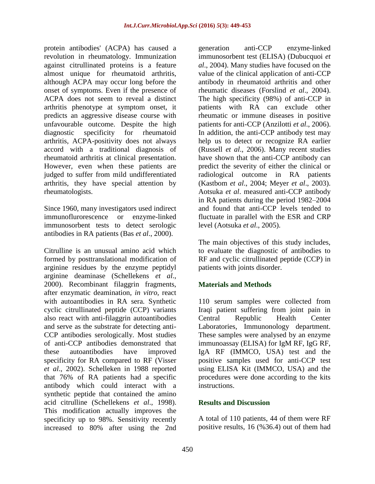protein antibodies' (ACPA) has caused a revolution in rheumatology. Immunization against citrullinated proteins is a feature almost unique for rheumatoid arthritis, although ACPA may occur long before the onset of symptoms. Even if the presence of ACPA does not seem to reveal a distinct arthritis phenotype at symptom onset, it predicts an aggressive disease course with unfavourable outcome. Despite the high diagnostic specificity for rheumatoid arthritis, ACPA-positivity does not always accord with a traditional diagnosis of rheumatoid arthritis at clinical presentation. However, even when these patients are judged to suffer from mild undifferentiated arthritis, they have special attention by rheumatologists.

Since 1960, many investigators used indirect immunoflurorescence or enzyme-linked immunosorbent tests to detect serologic antibodies in RA patients (Bas *et al*., 2000).

Citrulline is an unusual amino acid which formed by posttranslational modification of arginine residues by the enzyme peptidyl arginine deaminase (Schellekens *et al*., 2000). Recombinant filaggrin fragments, after enzymatic deamination*, in vitro*, react with autoantibodies in RA sera. Synthetic cyclic citrullinated peptide (CCP) variants also react with anti-filaggrin autoantibodies and serve as the substrate for detecting anti-CCP antibodies serologically. Most studies of anti-CCP antibodies demonstrated that these autoantibodies have improved specificity for RA compared to RF (Visser *et al*., 2002). Schelleken in 1988 reported that 76% of RA patients had a specific antibody which could interact with a synthetic peptide that contained the amino acid citrulline (Schellekens *et al*., 1998). This modification actually improves the specificity up to 98%. Sensitivity recently increased to 80% after using the 2nd

generation anti-CCP enzyme-linked immunosorbent test (ELISA) (Dubucquoi *et al*., 2004). Many studies have focused on the value of the clinical application of anti-CCP antibody in rheumatoid arthritis and other rheumatic diseases (Forslind *et al*., 2004). The high specificity (98%) of anti-CCP in patients with RA can exclude other rheumatic or immune diseases in positive patients for anti-CCP (Anzilotti *et al*., 2006). In addition, the anti-CCP antibody test may help us to detect or recognize RA earlier (Russell *et al*., 2006). Many recent studies have shown that the anti-CCP antibody can predict the severity of either the clinical or radiological outcome in RA patients (Kastbom *et al*., 2004; Meyer *et al*., 2003). Aotsuka *et al*. measured anti-CCP antibody in RA patients during the period 1982–2004 and found that anti-CCP levels tended to fluctuate in parallel with the ESR and CRP level (Aotsuka *et al*., 2005).

The main objectives of this study includes, to evaluate the diagnostic of antibodies to RF and cyclic citrullinated peptide (CCP) in patients with joints disorder.

# **Materials and Methods**

110 serum samples were collected from Iraqi patient suffering from joint pain in Central Republic Health Center Laboratories, Immunonology department. These samples were analysed by an enzyme immunoassay (ELISA) for IgM RF, IgG RF, IgA RF (IMMCO, USA) test and the positive samples used for anti-CCP test using ELISA Kit (IMMCO, USA) and the procedures were done according to the kits instructions.

## **Results and Discussion**

A total of 110 patients, 44 of them were RF positive results, 16 (%36.4) out of them had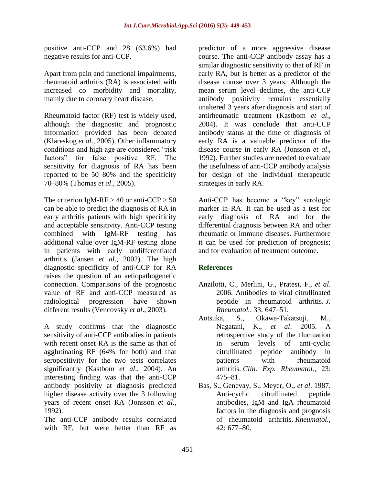positive anti-CCP and 28 (63.6%) had negative results for anti-CCP.

Apart from pain and functional impairments, rheumatoid arthritis (RA) is associated with increased co morbidity and mortality, mainly due to coronary heart disease.

Rheumatoid factor (RF) test is widely used, although the diagnostic and prognostic information provided has been debated (Klareskog *et al*., 2005), Other inflammatory conditions and high age are considered "risk factors" for false positive RF. The sensitivity for diagnosis of RA has been reported to be 50–80% and the specificity 70–80% (Thomas *et al*., 2005).

The criterion IgM-RF  $> 40$  or anti-CCP  $> 50$ can be able to predict the diagnosis of RA in early arthritis patients with high specificity and acceptable sensitivity. Anti-CCP testing combined with IgM-RF testing has additional value over IgM-RF testing alone in patients with early undifferentiated arthritis (Jansen *et al*., 2002). The high diagnostic specificity of anti-CCP for RA raises the question of an aetiopathogenetic connection. Comparisons of the prognostic value of RF and anti-CCP measured as radiological progression have shown different results (Vencovsky *et al*., 2003).

A study confirms that the diagnostic sensitivity of anti-CCP antibodies in patients with recent onset RA is the same as that of agglutinating RF (64% for both) and that seropositivity for the two tests correlates significantly (Kastbom *et al*., 2004). An interesting finding was that the anti-CCP antibody positivity at diagnosis predicted higher disease activity over the 3 following years of recent onset RA (Jonsson *et al*., 1992).

The anti-CCP antibody results correlated with RF, but were better than RF as

predictor of a more aggressive disease course. The anti-CCP antibody assay has a similar diagnostic sensitivity to that of RF in early RA, but is better as a predictor of the disease course over 3 years. Although the mean serum level declines, the anti-CCP antibody positivity remains essentially unaltered 3 years after diagnosis and start of antirheumatic treatment (Kastbom *et al*., 2004). It was conclude that anti-CCP antibody status at the time of diagnosis of early RA is a valuable predictor of the disease course in early RA (Jonsson *et al*., 1992). Further studies are needed to evaluate the usefulness of anti-CCP antibody analysis for design of the individual therapeutic strategies in early RA.

Anti-CCP has become a "key" serologic marker in RA. It can be used as a test for early diagnosis of RA and for the differential diagnosis between RA and other rheumatic or immune diseases. Furthermore it can be used for prediction of prognosis; and for evaluation of treatment outcome.

# **References**

- Anzilotti, C., Merlini, G., Pratesi, F., *et al*. 2006. Antibodies to viral citrullinated peptide in rheumatoid arthritis. *J. Rheumatol.,* 33: 647–51.
- Aotsuka, S., Okawa-Takatsuji, M., Nagatani, K., *et al*. 2005. A retrospective study of the fluctuation in serum levels of anti-cyclic citrullinated peptide antibody in patients with rheumatoid arthritis. *Clin. Exp. Rheumatol.,* 23: 475–81.
- Bas, S., Genevay, S., Meyer, O., *et al*. 1987. Anti-cyclic citrullinated peptide antibodies, IgM and IgA rheumatoid factors in the diagnosis and prognosis of rheumatoid arthritis. *Rheumatol.,* 42: 677–80.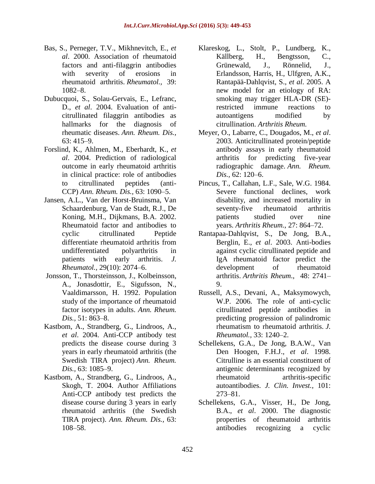- Bas, S., Perneger, T.V., Mikhnevitch, E., *et al*. 2000. Association of rheumatoid factors and anti-filaggrin antibodies with severity of erosions in rheumatoid arthritis. *Rheumatol.,* 39: 1082–8.
- Dubucquoi, S., Solau-Gervais, E., Lefranc, D., *et al*. 2004. Evaluation of anticitrullinated filaggrin antibodies as hallmarks for the diagnosis of rheumatic diseases. *Ann. Rheum. Dis.,* 63: 415–9.
- Forslind, K., Ahlmen, M., Eberhardt, K., *et al*. 2004. Prediction of radiological outcome in early rheumatoid arthritis in clinical practice: role of antibodies to citrullinated peptides (anti-CCP) *Ann. Rheum. Dis.,* 63: 1090–5.
- Jansen, A.L., Van der Horst-Bruinsma, Van Schaardenburg, Van de Stadt, R.J., De Koning, M.H., Dijkmans, B.A. 2002. Rheumatoid factor and antibodies to cyclic citrullinated Peptide differentiate rheumatoid arthritis from undifferentiated polyarthritis in patients with early arthritis. *J. Rheumatol.,* 29(10): 2074–6.
- Jonsson, T., Thorsteinsson, J., Kolbeinsson, A., Jonasdottir, E., Sigufsson, N., Vaaldimarsson, H. 1992. Population study of the importance of rheumatoid factor isotypes in adults. *Ann. Rheum. Dis.,* 51: 863–8.
- Kastbom, A., Strandberg, G., Lindroos, A., *et al*. 2004. Anti-CCP antibody test predicts the disease course during 3 years in early rheumatoid arthritis (the Swedish TIRA project) *Ann. Rheum. Dis.,* 63: 1085–9.
- Kastbom, A., Strandberg, G., Lindroos, A., Skogh, T. 2004. Author Affiliations Anti-CCP antibody test predicts the disease course during 3 years in early rheumatoid arthritis (the Swedish TIRA project). *Ann. Rheum. Dis.,* 63: 108–58.
- Klareskog, L., Stolt, P., Lundberg, K., Källberg, H., Bengtsson, C., Grünewald, J., Rönnelid, J., Erlandsson, Harris, H., Ulfgren, A.K., Rantapää-Dahlqvist, S., *et al*. 2005. A new model for an etiology of RA: smoking may trigger HLA-DR (SE) restricted immune reactions to autoantigens modified by citrullination. *Arthritis Rheum.*
- Meyer, O., Labarre, C., Dougados, M., *et al*. 2003. Anticitrullinated protein/peptide antibody assays in early rheumatoid arthritis for predicting five-year radiographic damage. *Ann. Rheum. Dis.,* 62: 120–6.
- Pincus, T., Callahan, L.F., Sale, W.G. 1984. Severe functional declines, work disability, and increased mortality in seventy-five rheumatoid arthritis patients studied over nine years. *Arthritis Rheum.*, 27: 864–72.
- Rantapaa-Dahlqvist, S., De Jong, B.A., Berglin, E., *et al*. 2003. Anti-bodies against cyclic citrullinated peptide and IgA rheumatoid factor predict the development of rheumatoid arthritis. *Arthritis Rheum*., 48: 2741– 9.
- Russell, A.S., Devani, A., Maksymowych, W.P. 2006. The role of anti-cyclic citrullinated peptide antibodies in predicting progression of palindromic rheumatism to rheumatoid arthritis. *J. Rheumatol.,* 33: 1240–2.
- Schellekens, G.A., De Jong, B.A.W., Van Den Hoogen, F.H.J., *et al*. 1998. Citrulline is an essential constituent of antigenic determinants recognized by rheumatoid arthritis-specific autoantibodies. *J. Clin. Invest.,* 101: 273–81.
- Schellekens, G.A., Visser, H., De Jong, B.A., *et al*. 2000. The diagnostic properties of rheumatoid arthritis antibodies recognizing a cyclic